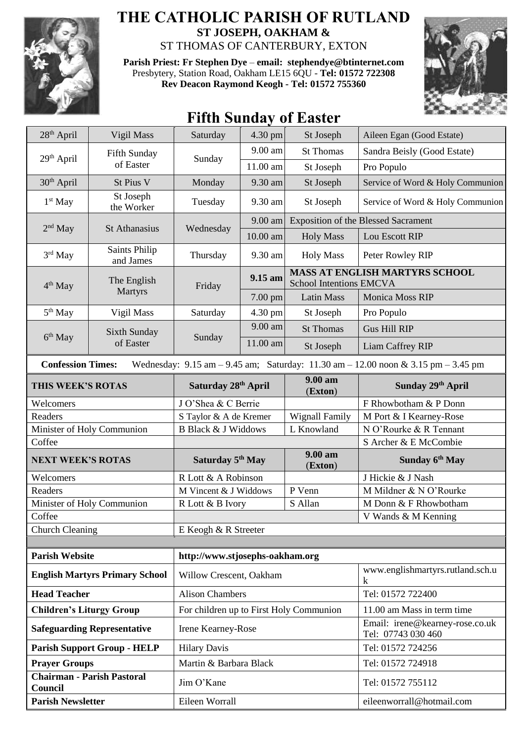

## **THE CATHOLIC PARISH OF RUTLAND ST JOSEPH, OAKHAM &**  ST THOMAS OF CANTERBURY, EXTON

**Parish Priest: Fr Stephen Dye** – **[email: stephendye@btinternet.com](mailto:email:%20%20stephendye@btinternet.com)** Presbytery, Station Road, Oakham LE15 6QU - **Tel: 01572 722308 Rev Deacon Raymond Keogh - Tel: 01572 755360**



## **Fifth Sunday of Easter**

| 28 <sup>th</sup> April                       | Vigil Mass                                                                                                                                                          | Saturday                                | 4.30 pm  | St Joseph                      | Aileen Egan (Good Estate)                             |  |  |
|----------------------------------------------|---------------------------------------------------------------------------------------------------------------------------------------------------------------------|-----------------------------------------|----------|--------------------------------|-------------------------------------------------------|--|--|
| $29th$ April                                 | Fifth Sunday<br>of Easter                                                                                                                                           | Sunday                                  | 9.00 am  | <b>St Thomas</b>               | Sandra Beisly (Good Estate)                           |  |  |
|                                              |                                                                                                                                                                     |                                         | 11.00 am | St Joseph                      | Pro Populo                                            |  |  |
| 30 <sup>th</sup> April                       | St Pius V                                                                                                                                                           | Monday                                  | 9.30 am  | St Joseph                      | Service of Word & Holy Communion                      |  |  |
| $1st$ May                                    | St Joseph<br>the Worker                                                                                                                                             | Tuesday                                 | 9.30 am  | St Joseph                      | Service of Word & Holy Communion                      |  |  |
| $2nd$ May                                    | <b>St Athanasius</b>                                                                                                                                                | Wednesday                               | 9.00 am  |                                | <b>Exposition of the Blessed Sacrament</b>            |  |  |
|                                              |                                                                                                                                                                     |                                         | 10.00 am | <b>Holy Mass</b>               | Lou Escott RIP                                        |  |  |
| $3rd$ May                                    | Saints Philip<br>and James                                                                                                                                          | Thursday                                | 9.30 am  | <b>Holy Mass</b>               | Peter Rowley RIP                                      |  |  |
| 4 <sup>th</sup> May                          | The English                                                                                                                                                         | Friday                                  | 9.15 am  | <b>School Intentions EMCVA</b> | MASS AT ENGLISH MARTYRS SCHOOL                        |  |  |
|                                              | <b>Martyrs</b>                                                                                                                                                      |                                         | 7.00 pm  | <b>Latin Mass</b>              | <b>Monica Moss RIP</b>                                |  |  |
| 5 <sup>th</sup> May                          | Vigil Mass                                                                                                                                                          | Saturday                                | 4.30 pm  | St Joseph                      | Pro Populo                                            |  |  |
|                                              | <b>Sixth Sunday</b>                                                                                                                                                 |                                         | 9.00 am  | <b>St Thomas</b>               | <b>Gus Hill RIP</b>                                   |  |  |
| 6 <sup>th</sup> May                          | of Easter                                                                                                                                                           | Sunday                                  | 11.00 am | St Joseph                      | Liam Caffrey RIP                                      |  |  |
|                                              | Wednesday: $9.15 \text{ am} - 9.45 \text{ am}$ ; Saturday: $11.30 \text{ am} - 12.00 \text{ noon} \& 3.15 \text{ pm} - 3.45 \text{ pm}$<br><b>Confession Times:</b> |                                         |          |                                |                                                       |  |  |
| THIS WEEK'S ROTAS                            |                                                                                                                                                                     | Saturday 28th April                     |          | $9.00 a$ m<br>(Exton)          | Sunday 29th April                                     |  |  |
| Welcomers                                    |                                                                                                                                                                     | J O'Shea & C Berrie                     |          |                                | F Rhowbotham & P Donn                                 |  |  |
| Readers                                      |                                                                                                                                                                     | S Taylor & A de Kremer                  |          | <b>Wignall Family</b>          | M Port & I Kearney-Rose                               |  |  |
| Minister of Holy Communion                   |                                                                                                                                                                     | <b>B Black &amp; J Widdows</b>          |          | L Knowland                     | N O'Rourke & R Tennant                                |  |  |
| Coffee                                       |                                                                                                                                                                     |                                         |          |                                | S Archer & E McCombie                                 |  |  |
| <b>NEXT WEEK'S ROTAS</b>                     |                                                                                                                                                                     | Saturday 5 <sup>th</sup> May            |          | 9.00 am<br>(Exton)             | Sunday 6th May                                        |  |  |
| Welcomers                                    |                                                                                                                                                                     | R Lott & A Robinson                     |          |                                | J Hickie & J Nash                                     |  |  |
| Readers                                      |                                                                                                                                                                     | M Vincent & J Widdows                   |          | P Venn                         | M Mildner & N O'Rourke                                |  |  |
| Minister of Holy Communion                   |                                                                                                                                                                     | R Lott & B Ivory                        |          | S Allan                        | M Donn & F Rhowbotham                                 |  |  |
| Coffee                                       |                                                                                                                                                                     |                                         |          |                                | V Wands & M Kenning                                   |  |  |
| <b>Church Cleaning</b>                       |                                                                                                                                                                     | E Keogh & R Streeter                    |          |                                |                                                       |  |  |
| <b>Parish Website</b>                        |                                                                                                                                                                     | http://www.stjosephs-oakham.org         |          |                                |                                                       |  |  |
|                                              | <b>English Martyrs Primary School</b>                                                                                                                               | Willow Crescent, Oakham                 |          |                                | www.englishmartyrs.rutland.sch.u<br>$\mathbf k$       |  |  |
| <b>Head Teacher</b>                          |                                                                                                                                                                     | <b>Alison Chambers</b>                  |          |                                | Tel: 01572 722400                                     |  |  |
| <b>Children's Liturgy Group</b>              |                                                                                                                                                                     | For children up to First Holy Communion |          |                                | 11.00 am Mass in term time                            |  |  |
| <b>Safeguarding Representative</b>           |                                                                                                                                                                     | Irene Kearney-Rose                      |          |                                | Email: irene@kearney-rose.co.uk<br>Tel: 07743 030 460 |  |  |
| <b>Parish Support Group - HELP</b>           |                                                                                                                                                                     | <b>Hilary Davis</b>                     |          |                                | Tel: 01572 724256                                     |  |  |
| <b>Prayer Groups</b>                         |                                                                                                                                                                     | Martin & Barbara Black                  |          |                                | Tel: 01572 724918                                     |  |  |
| <b>Chairman - Parish Pastoral</b><br>Council |                                                                                                                                                                     | Jim O'Kane                              |          |                                | Tel: 01572 755112                                     |  |  |
| <b>Parish Newsletter</b>                     |                                                                                                                                                                     | Eileen Worrall                          |          |                                | eileenworrall@hotmail.com                             |  |  |